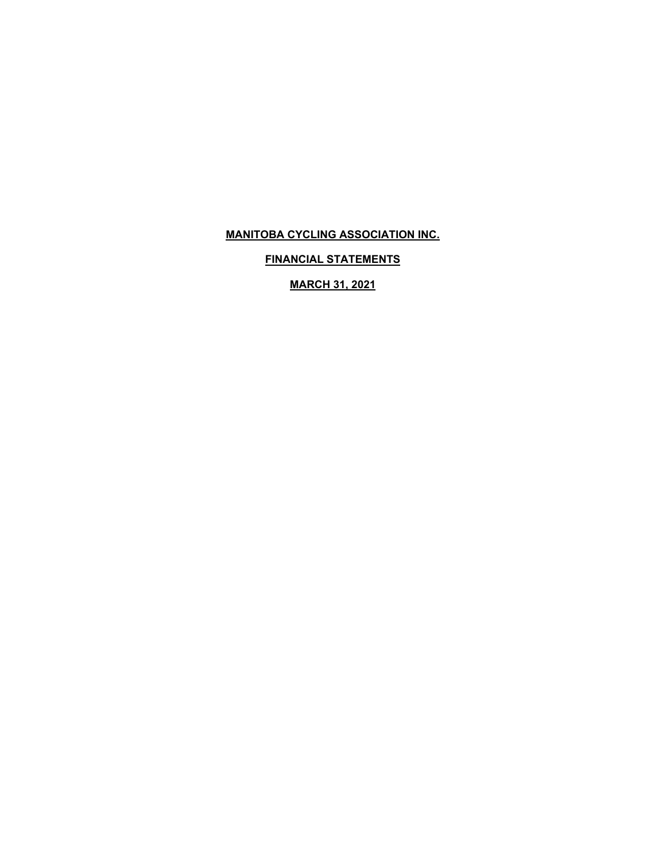**FINANCIAL STATEMENTS** 

**MARCH 31, 2021**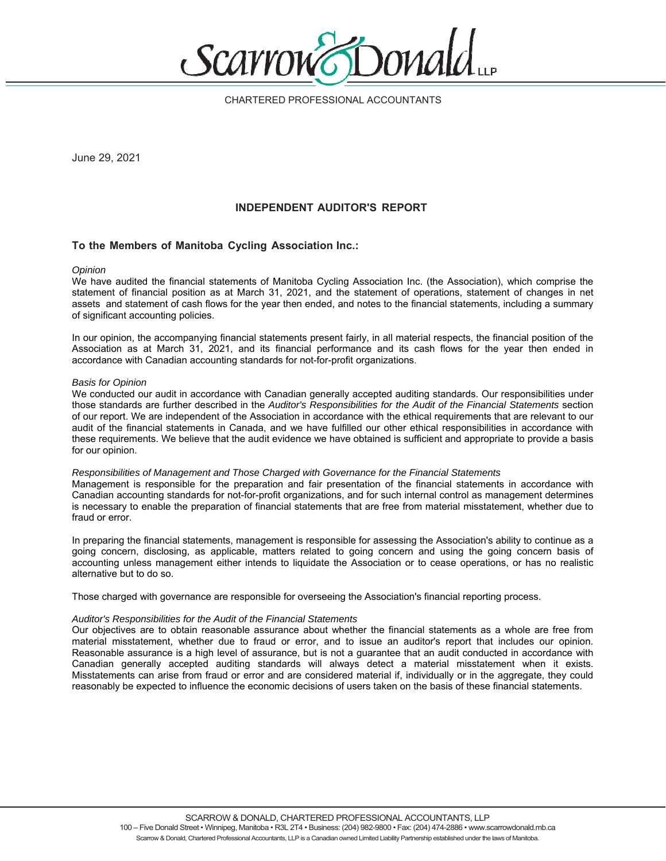

CHARTERED PROFESSIONAL ACCOUNTANTS

June 29, 2021

## **INDEPENDENT AUDITOR'S REPORT**

## **To the Members of Manitoba Cycling Association Inc.:**

#### *Opinion*

We have audited the financial statements of Manitoba Cycling Association Inc. (the Association), which comprise the statement of financial position as at March 31, 2021, and the statement of operations, statement of changes in net assets and statement of cash flows for the year then ended, and notes to the financial statements, including a summary of significant accounting policies.

In our opinion, the accompanying financial statements present fairly, in all material respects, the financial position of the Association as at March 31, 2021, and its financial performance and its cash flows for the year then ended in accordance with Canadian accounting standards for not-for-profit organizations.

#### *Basis for Opinion*

We conducted our audit in accordance with Canadian generally accepted auditing standards. Our responsibilities under those standards are further described in the *Auditor's Responsibilities for the Audit of the Financial Statements* section of our report. We are independent of the Association in accordance with the ethical requirements that are relevant to our audit of the financial statements in Canada, and we have fulfilled our other ethical responsibilities in accordance with these requirements. We believe that the audit evidence we have obtained is sufficient and appropriate to provide a basis for our opinion.

#### *Responsibilities of Management and Those Charged with Governance for the Financial Statements*

Management is responsible for the preparation and fair presentation of the financial statements in accordance with Canadian accounting standards for not-for-profit organizations, and for such internal control as management determines is necessary to enable the preparation of financial statements that are free from material misstatement, whether due to fraud or error.

In preparing the financial statements, management is responsible for assessing the Association's ability to continue as a going concern, disclosing, as applicable, matters related to going concern and using the going concern basis of accounting unless management either intends to liquidate the Association or to cease operations, or has no realistic alternative but to do so.

Those charged with governance are responsible for overseeing the Association's financial reporting process.

### *Auditor's Responsibilities for the Audit of the Financial Statements*

Our objectives are to obtain reasonable assurance about whether the financial statements as a whole are free from material misstatement, whether due to fraud or error, and to issue an auditor's report that includes our opinion. Reasonable assurance is a high level of assurance, but is not a guarantee that an audit conducted in accordance with Canadian generally accepted auditing standards will always detect a material misstatement when it exists. Misstatements can arise from fraud or error and are considered material if, individually or in the aggregate, they could reasonably be expected to influence the economic decisions of users taken on the basis of these financial statements.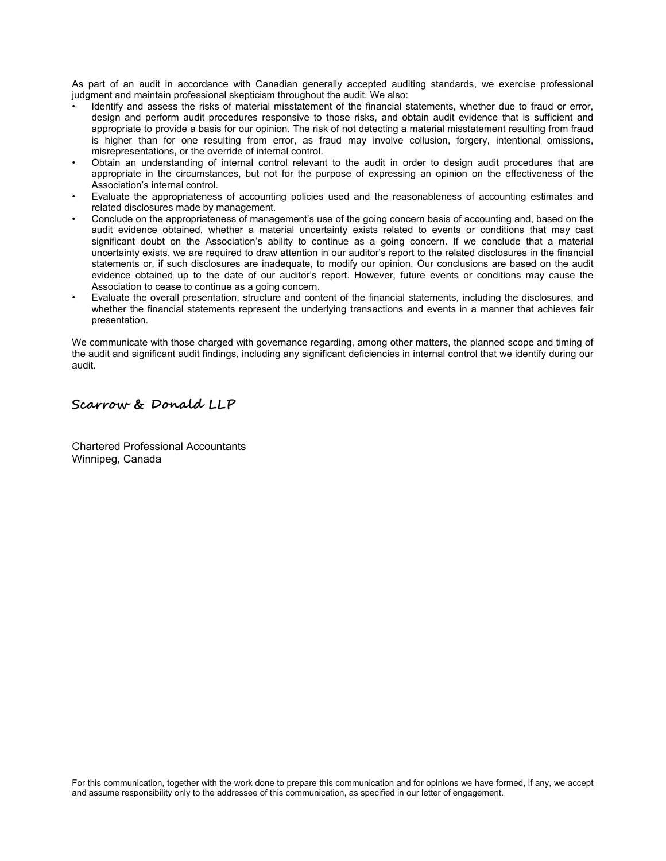As part of an audit in accordance with Canadian generally accepted auditing standards, we exercise professional judgment and maintain professional skepticism throughout the audit. We also:

- Identify and assess the risks of material misstatement of the financial statements, whether due to fraud or error, design and perform audit procedures responsive to those risks, and obtain audit evidence that is sufficient and appropriate to provide a basis for our opinion. The risk of not detecting a material misstatement resulting from fraud is higher than for one resulting from error, as fraud may involve collusion, forgery, intentional omissions, misrepresentations, or the override of internal control.
- Obtain an understanding of internal control relevant to the audit in order to design audit procedures that are appropriate in the circumstances, but not for the purpose of expressing an opinion on the effectiveness of the Association's internal control.
- Evaluate the appropriateness of accounting policies used and the reasonableness of accounting estimates and related disclosures made by management.
- Conclude on the appropriateness of management's use of the going concern basis of accounting and, based on the audit evidence obtained, whether a material uncertainty exists related to events or conditions that may cast significant doubt on the Association's ability to continue as a going concern. If we conclude that a material uncertainty exists, we are required to draw attention in our auditor's report to the related disclosures in the financial statements or, if such disclosures are inadequate, to modify our opinion. Our conclusions are based on the audit evidence obtained up to the date of our auditor's report. However, future events or conditions may cause the Association to cease to continue as a going concern.
- Evaluate the overall presentation, structure and content of the financial statements, including the disclosures, and whether the financial statements represent the underlying transactions and events in a manner that achieves fair presentation.

We communicate with those charged with governance regarding, among other matters, the planned scope and timing of the audit and significant audit findings, including any significant deficiencies in internal control that we identify during our audit.

## **Scarrow & Donald LLP**

Chartered Professional Accountants Winnipeg, Canada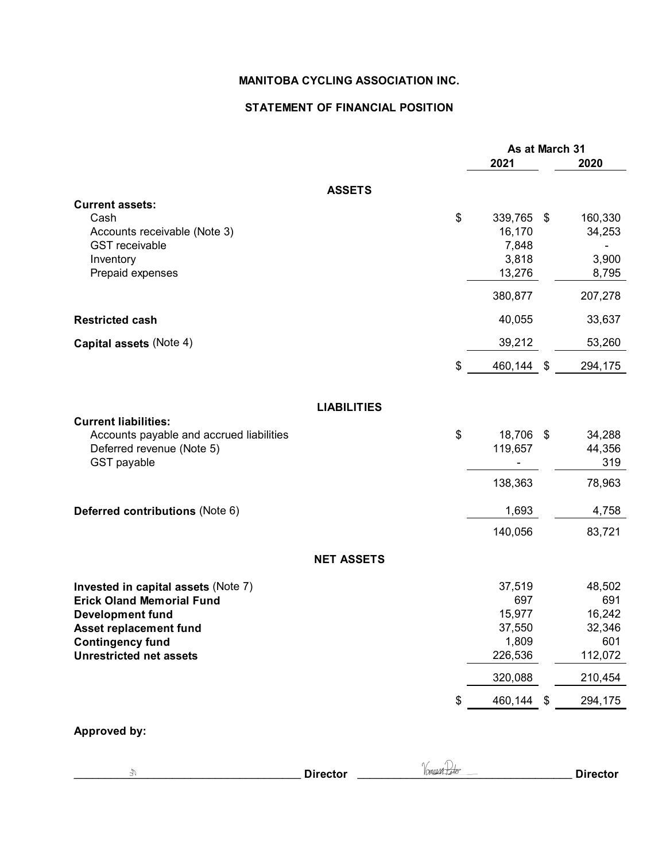## **STATEMENT OF FINANCIAL POSITION**

|                                                                         |                    | As at March 31  |     |               |  |
|-------------------------------------------------------------------------|--------------------|-----------------|-----|---------------|--|
|                                                                         |                    | 2021            |     | 2020          |  |
|                                                                         | <b>ASSETS</b>      |                 |     |               |  |
| <b>Current assets:</b>                                                  |                    |                 |     |               |  |
| Cash                                                                    |                    | \$<br>339,765   | -\$ | 160,330       |  |
| Accounts receivable (Note 3)<br><b>GST</b> receivable                   |                    | 16,170<br>7,848 |     | 34,253        |  |
| Inventory                                                               |                    | 3,818           |     | 3,900         |  |
| Prepaid expenses                                                        |                    | 13,276          |     | 8,795         |  |
|                                                                         |                    | 380,877         |     | 207,278       |  |
|                                                                         |                    |                 |     |               |  |
| <b>Restricted cash</b>                                                  |                    | 40,055          |     | 33,637        |  |
| Capital assets (Note 4)                                                 |                    | 39,212          |     | 53,260        |  |
|                                                                         |                    | \$<br>460,144   | \$  | 294,175       |  |
|                                                                         | <b>LIABILITIES</b> |                 |     |               |  |
| <b>Current liabilities:</b>                                             |                    |                 |     |               |  |
| Accounts payable and accrued liabilities                                |                    | \$<br>18,706 \$ |     | 34,288        |  |
| Deferred revenue (Note 5)                                               |                    | 119,657         |     | 44,356        |  |
| GST payable                                                             |                    |                 |     | 319           |  |
|                                                                         |                    | 138,363         |     | 78,963        |  |
| Deferred contributions (Note 6)                                         |                    | 1,693           |     | 4,758         |  |
|                                                                         |                    | 140,056         |     | 83,721        |  |
|                                                                         | <b>NET ASSETS</b>  |                 |     |               |  |
|                                                                         |                    |                 |     |               |  |
| Invested in capital assets (Note 7)<br><b>Erick Oland Memorial Fund</b> |                    | 37,519<br>697   |     | 48,502<br>691 |  |
| <b>Development fund</b>                                                 |                    | 15,977          |     | 16,242        |  |
| Asset replacement fund                                                  |                    | 37,550          |     | 32,346        |  |
| <b>Contingency fund</b>                                                 |                    | 1,809           |     | 601           |  |
| <b>Unrestricted net assets</b>                                          |                    | 226,536         |     | 112,072       |  |
|                                                                         |                    | 320,088         |     | 210,454       |  |
|                                                                         |                    | \$<br>460,144   | \$  | 294,175       |  |
| Approved by:                                                            |                    |                 |     |               |  |

| <b>Director</b> | างกกมห<br>ant | <b>Director</b> |
|-----------------|---------------|-----------------|
|                 |               |                 |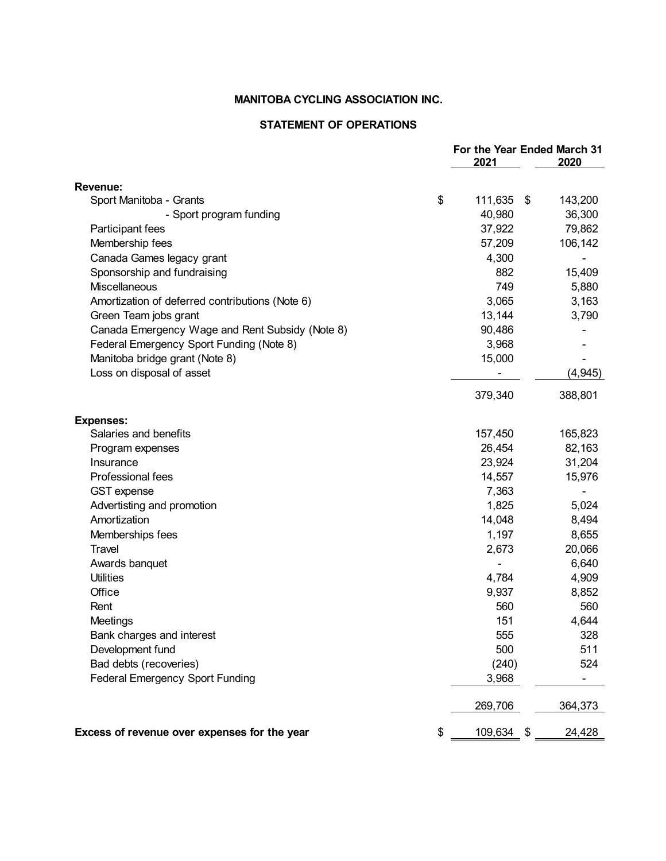## **STATEMENT OF OPERATIONS**

|                                                 |                  | For the Year Ended March 31<br>2021 |          |  |
|-------------------------------------------------|------------------|-------------------------------------|----------|--|
|                                                 |                  |                                     | 2020     |  |
| <b>Revenue:</b>                                 |                  |                                     |          |  |
| Sport Manitoba - Grants                         | \$<br>111,635    | \$                                  | 143,200  |  |
| - Sport program funding                         | 40,980           |                                     | 36,300   |  |
| Participant fees                                | 37,922           |                                     | 79,862   |  |
| Membership fees                                 | 57,209           |                                     | 106,142  |  |
| Canada Games legacy grant                       | 4,300            |                                     |          |  |
| Sponsorship and fundraising                     | 882              |                                     | 15,409   |  |
| Miscellaneous                                   | 749              |                                     | 5,880    |  |
| Amortization of deferred contributions (Note 6) | 3,065            |                                     | 3,163    |  |
| Green Team jobs grant                           | 13,144           |                                     | 3,790    |  |
| Canada Emergency Wage and Rent Subsidy (Note 8) | 90,486           |                                     |          |  |
| Federal Emergency Sport Funding (Note 8)        | 3,968            |                                     |          |  |
| Manitoba bridge grant (Note 8)                  | 15,000           |                                     |          |  |
| Loss on disposal of asset                       |                  |                                     | (4, 945) |  |
|                                                 | 379,340          |                                     | 388,801  |  |
| <b>Expenses:</b>                                |                  |                                     |          |  |
| Salaries and benefits                           | 157,450          |                                     | 165,823  |  |
| Program expenses                                | 26,454           |                                     | 82,163   |  |
| Insurance                                       | 23,924           |                                     | 31,204   |  |
| Professional fees                               | 14,557           |                                     | 15,976   |  |
| <b>GST</b> expense                              | 7,363            |                                     |          |  |
| Advertisting and promotion                      | 1,825            |                                     | 5,024    |  |
| Amortization                                    | 14,048           |                                     | 8,494    |  |
| Memberships fees                                | 1,197            |                                     | 8,655    |  |
| Travel                                          | 2,673            |                                     | 20,066   |  |
| Awards banquet                                  |                  |                                     | 6,640    |  |
| <b>Utilities</b>                                | 4,784            |                                     | 4,909    |  |
| Office                                          | 9,937            |                                     | 8,852    |  |
| Rent                                            | 560              |                                     | 560      |  |
| Meetings                                        | 151              |                                     | 4,644    |  |
| Bank charges and interest                       | 555              |                                     | 328      |  |
| Development fund                                | 500              |                                     | 511      |  |
| Bad debts (recoveries)                          | (240)            |                                     | 524      |  |
| <b>Federal Emergency Sport Funding</b>          | 3,968            |                                     |          |  |
|                                                 | 269,706          |                                     | 364,373  |  |
| Excess of revenue over expenses for the year    | \$<br>109,634 \$ |                                     | 24,428   |  |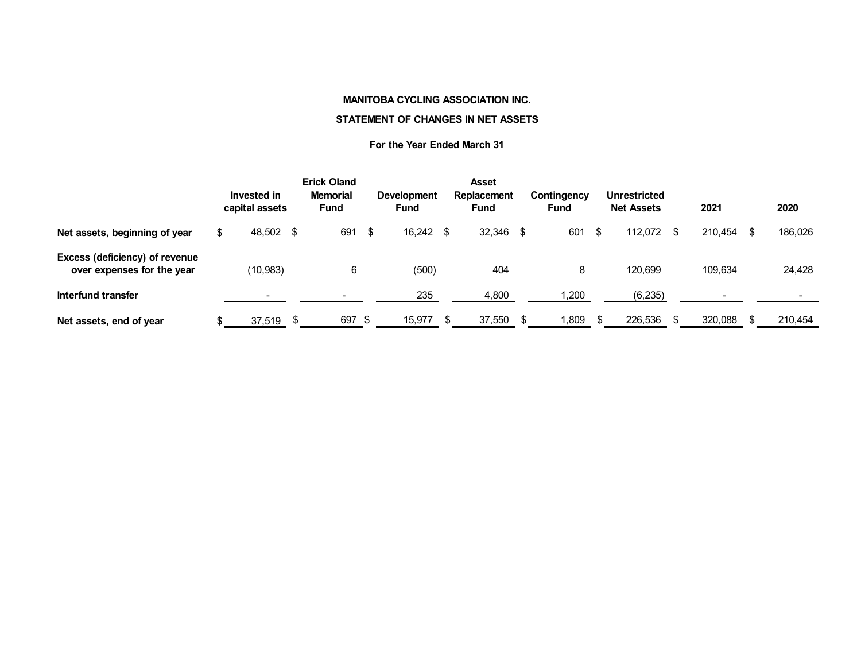#### **STATEMENT OF CHANGES IN NET ASSETS**

### **For the Year Ended March 31**

|                                                              |    | Invested in<br>capital assets |      | <b>Erick Oland</b><br><b>Memorial</b><br><b>Fund</b> |      | <b>Development</b><br>Fund |      | <b>Asset</b><br>Replacement<br><b>Fund</b> | Contingency<br>Fund |   | <b>Unrestricted</b><br><b>Net Assets</b> |      | 2021    | 2020          |
|--------------------------------------------------------------|----|-------------------------------|------|------------------------------------------------------|------|----------------------------|------|--------------------------------------------|---------------------|---|------------------------------------------|------|---------|---------------|
| Net assets, beginning of year                                | æ. | 48,502                        | - \$ | 691                                                  | -S   | 16.242                     | - \$ | $32,346$ \$                                | 601                 | S | 112.072                                  | - \$ | 210.454 | \$<br>186,026 |
| Excess (deficiency) of revenue<br>over expenses for the year |    | (10, 983)                     |      | 6                                                    |      | (500)                      |      | 404                                        | 8                   |   | 120.699                                  |      | 109,634 | 24,428        |
| Interfund transfer                                           |    |                               |      |                                                      |      | 235                        |      | 4,800                                      | ,200                |   | (6, 235)                                 |      |         |               |
| Net assets, end of year                                      |    | 37,519                        |      | 697                                                  | - \$ | 15,977                     |      | 37,550                                     | .809                |   | 226,536                                  |      | 320,088 | 210,454       |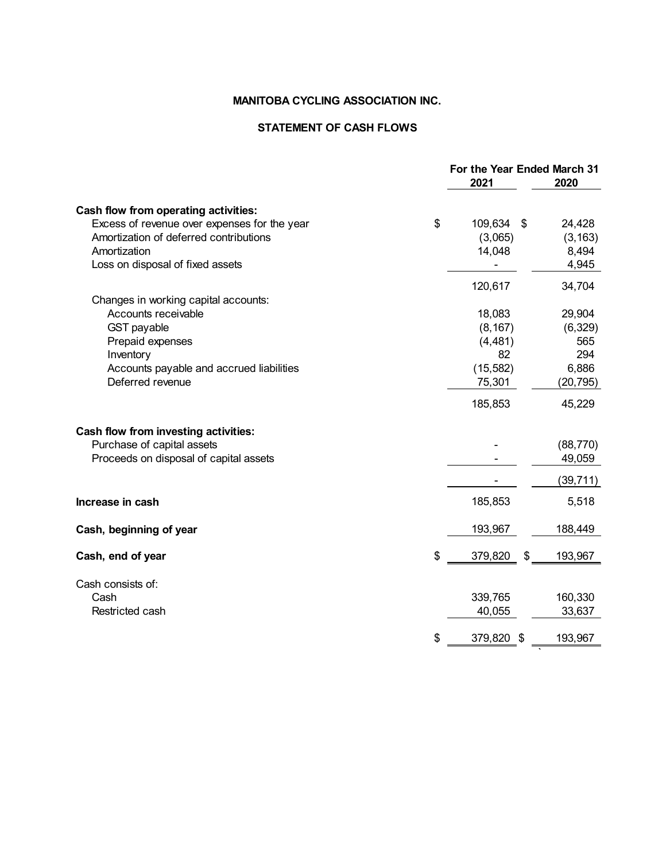## **STATEMENT OF CASH FLOWS**

|                                              | For the Year Ended March 31<br>2021 |      | 2020      |
|----------------------------------------------|-------------------------------------|------|-----------|
| Cash flow from operating activities:         |                                     |      |           |
| Excess of revenue over expenses for the year | \$<br>109,634                       | - \$ | 24,428    |
| Amortization of deferred contributions       | (3,065)                             |      | (3, 163)  |
| Amortization                                 | 14,048                              |      | 8,494     |
| Loss on disposal of fixed assets             |                                     |      | 4,945     |
|                                              | 120,617                             |      | 34,704    |
| Changes in working capital accounts:         |                                     |      |           |
| Accounts receivable                          | 18,083                              |      | 29,904    |
| <b>GST</b> payable                           | (8, 167)                            |      | (6, 329)  |
| Prepaid expenses                             | (4, 481)                            |      | 565       |
| Inventory                                    | 82                                  |      | 294       |
| Accounts payable and accrued liabilities     | (15, 582)                           |      | 6,886     |
| Deferred revenue                             | 75,301                              |      | (20,795)  |
|                                              | 185,853                             |      | 45,229    |
| Cash flow from investing activities:         |                                     |      |           |
| Purchase of capital assets                   |                                     |      | (88, 770) |
| Proceeds on disposal of capital assets       |                                     |      | 49,059    |
|                                              |                                     |      | (39,711)  |
| Increase in cash                             | 185,853                             |      | 5,518     |
| Cash, beginning of year                      | 193,967                             |      | 188,449   |
| Cash, end of year                            | \$<br>379,820                       | \$   | 193,967   |
| Cash consists of:                            |                                     |      |           |
| Cash                                         | 339,765                             |      | 160,330   |
| Restricted cash                              | 40,055                              |      | 33,637    |
|                                              | \$<br>379,820 \$                    |      | 193,967   |
|                                              |                                     |      |           |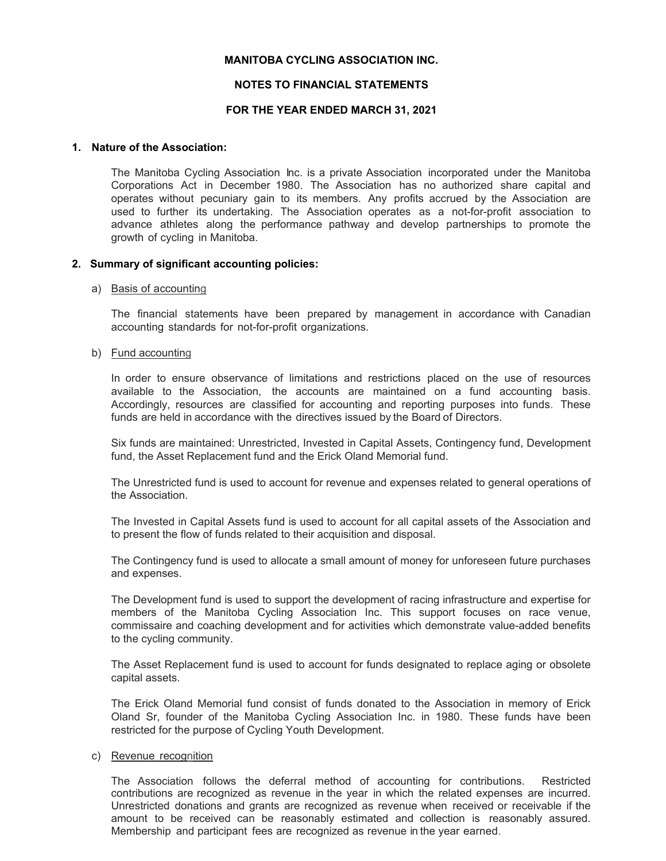## **NOTES TO FINANCIAL STATEMENTS**

## **FOR THE YEAR ENDED MARCH 31, 2021**

### **1. Nature of the Association:**

 The Manitoba Cycling Association Inc. is a private Association incorporated under the Manitoba Corporations Act in December 1980. The Association has no authorized share capital and operates without pecuniary gain to its members. Any profits accrued by the Association are used to further its undertaking. The Association operates as a not-for-profit association to advance athletes along the performance pathway and develop partnerships to promote the growth of cycling in Manitoba.

## **2. Summary of significant accounting policies:**

### a) Basis of accounting

The financial statements have been prepared by management in accordance with Canadian accounting standards for not-for-profit organizations.

### b) Fund accounting

In order to ensure observance of limitations and restrictions placed on the use of resources available to the Association, the accounts are maintained on a fund accounting basis. Accordingly, resources are classified for accounting and reporting purposes into funds. These funds are held in accordance with the directives issued by the Board of Directors.

Six funds are maintained: Unrestricted, Invested in Capital Assets, Contingency fund, Development fund, the Asset Replacement fund and the Erick Oland Memorial fund.

The Unrestricted fund is used to account for revenue and expenses related to general operations of the Association.

The Invested in Capital Assets fund is used to account for all capital assets of the Association and to present the flow of funds related to their acquisition and disposal.

The Contingency fund is used to allocate a small amount of money for unforeseen future purchases and expenses.

The Development fund is used to support the development of racing infrastructure and expertise for members of the Manitoba Cycling Association Inc. This support focuses on race venue, commissaire and coaching development and for activities which demonstrate value-added benefits to the cycling community.

The Asset Replacement fund is used to account for funds designated to replace aging or obsolete capital assets.

The Erick Oland Memorial fund consist of funds donated to the Association in memory of Erick Oland Sr, founder of the Manitoba Cycling Association Inc. in 1980. These funds have been restricted for the purpose of Cycling Youth Development.

### c) Revenue recognition

The Association follows the deferral method of accounting for contributions. Restricted contributions are recognized as revenue in the year in which the related expenses are incurred. Unrestricted donations and grants are recognized as revenue when received or receivable if the amount to be received can be reasonably estimated and collection is reasonably assured. Membership and participant fees are recognized as revenue in the year earned.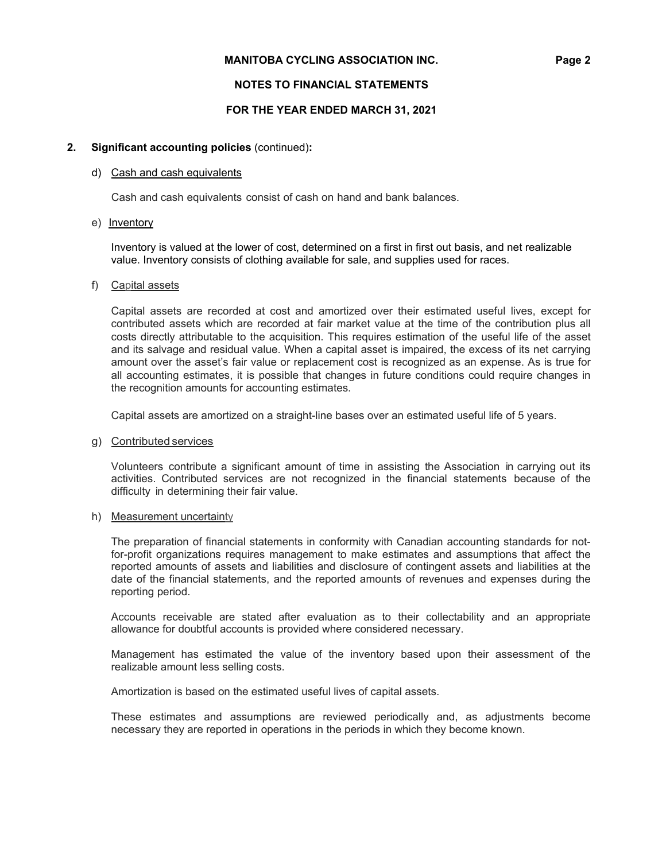## **NOTES TO FINANCIAL STATEMENTS**

## **FOR THE YEAR ENDED MARCH 31, 2021**

## **2. Significant accounting policies** (continued)**:**

### d) Cash and cash equivalents

Cash and cash equivalents consist of cash on hand and bank balances.

e) Inventory

Inventory is valued at the lower of cost, determined on a first in first out basis, and net realizable value. Inventory consists of clothing available for sale, and supplies used for races.

### f) Capital assets

Capital assets are recorded at cost and amortized over their estimated useful lives, except for contributed assets which are recorded at fair market value at the time of the contribution plus all costs directly attributable to the acquisition. This requires estimation of the useful life of the asset and its salvage and residual value. When a capital asset is impaired, the excess of its net carrying amount over the asset's fair value or replacement cost is recognized as an expense. As is true for all accounting estimates, it is possible that changes in future conditions could require changes in the recognition amounts for accounting estimates.

Capital assets are amortized on a straight-line bases over an estimated useful life of 5 years.

### g) Contributed services

Volunteers contribute a significant amount of time in assisting the Association in carrying out its activities. Contributed services are not recognized in the financial statements because of the difficulty in determining their fair value.

### h) Measurement uncertainty

The preparation of financial statements in conformity with Canadian accounting standards for notfor-profit organizations requires management to make estimates and assumptions that affect the reported amounts of assets and liabilities and disclosure of contingent assets and liabilities at the date of the financial statements, and the reported amounts of revenues and expenses during the reporting period.

Accounts receivable are stated after evaluation as to their collectability and an appropriate allowance for doubtful accounts is provided where considered necessary.

Management has estimated the value of the inventory based upon their assessment of the realizable amount less selling costs.

Amortization is based on the estimated useful lives of capital assets.

These estimates and assumptions are reviewed periodically and, as adjustments become necessary they are reported in operations in the periods in which they become known.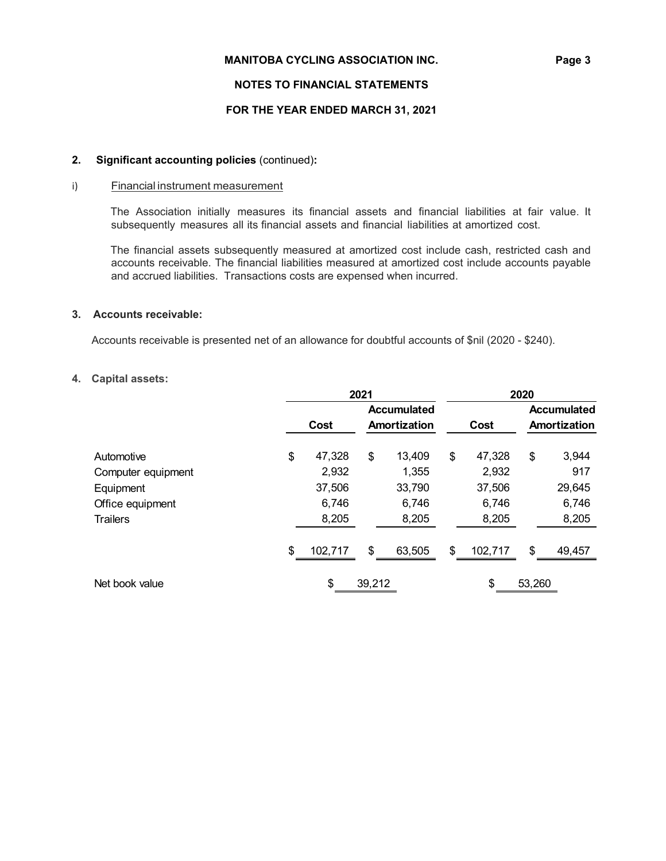## **NOTES TO FINANCIAL STATEMENTS**

## **FOR THE YEAR ENDED MARCH 31, 2021**

## **2. Significant accounting policies** (continued)**:**

## i) Financial instrument measurement

The Association initially measures its financial assets and financial liabilities at fair value. It subsequently measures all its financial assets and financial liabilities at amortized cost.

The financial assets subsequently measured at amortized cost include cash, restricted cash and accounts receivable. The financial liabilities measured at amortized cost include accounts payable and accrued liabilities. Transactions costs are expensed when incurred.

## **3. Accounts receivable:**

Accounts receivable is presented net of an allowance for doubtful accounts of \$nil (2020 - \$240).

### **4. Capital assets:**

|                    |               | 2021   | 2020               |    |              |              |                    |  |
|--------------------|---------------|--------|--------------------|----|--------------|--------------|--------------------|--|
|                    |               |        | <b>Accumulated</b> |    |              |              | <b>Accumulated</b> |  |
|                    | Cost          |        | Amortization       |    | Cost         | Amortization |                    |  |
| Automotive         | \$<br>47,328  | \$     | 13,409             | \$ | 47,328       | \$           | 3,944              |  |
| Computer equipment | 2,932         |        | 1,355              |    | 2,932        |              | 917                |  |
| Equipment          | 37,506        |        | 33,790             |    | 37,506       |              | 29,645             |  |
| Office equipment   | 6,746         |        | 6,746              |    | 6,746        |              | 6,746              |  |
| <b>Trailers</b>    | 8,205         |        | 8,205              |    | 8,205        |              | 8,205              |  |
|                    | \$<br>102,717 | \$     | 63,505             | \$ | 102,717      | \$           | 49,457             |  |
| Net book value     | \$            | 39,212 |                    |    | \$<br>53,260 |              |                    |  |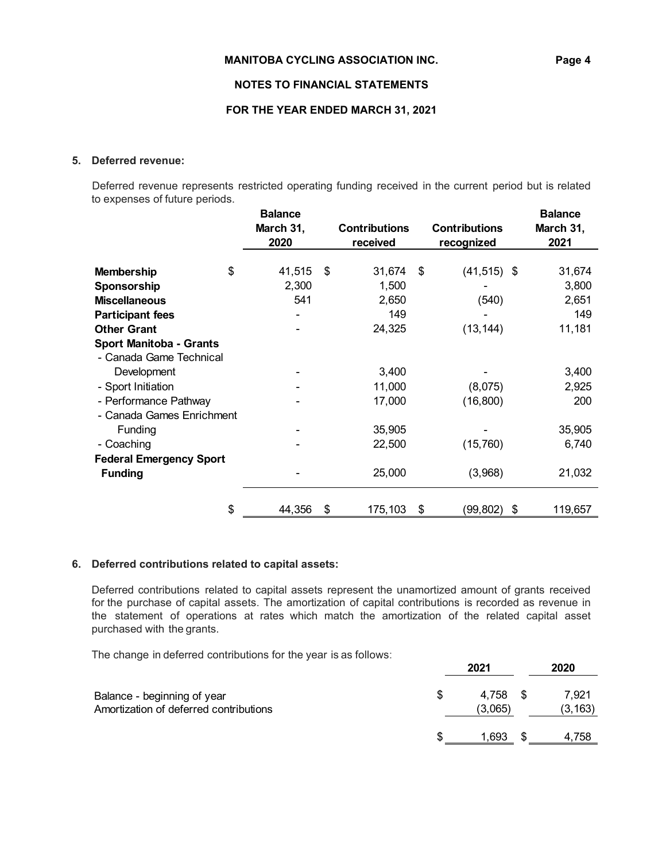## **NOTES TO FINANCIAL STATEMENTS**

### **FOR THE YEAR ENDED MARCH 31, 2021**

## **5. Deferred revenue:**

Deferred revenue represents restricted operating funding received in the current period but is related to expenses of future periods.

|                                                           | <b>Balance</b><br>March 31,<br>2020 |    | <b>Contributions</b><br>received |     | <b>Contributions</b><br>recognized | <b>Balance</b><br>March 31,<br>2021 |
|-----------------------------------------------------------|-------------------------------------|----|----------------------------------|-----|------------------------------------|-------------------------------------|
| <b>Membership</b><br>Sponsorship<br><b>Miscellaneous</b>  | \$<br>41,515<br>2,300<br>541        | \$ | 31,674<br>1,500<br>2,650<br>149  | -\$ | $(41, 515)$ \$<br>(540)            | 31,674<br>3,800<br>2,651<br>149     |
| <b>Participant fees</b><br><b>Other Grant</b>             |                                     |    | 24,325                           |     | (13, 144)                          | 11,181                              |
| <b>Sport Manitoba - Grants</b><br>- Canada Game Technical |                                     |    |                                  |     |                                    |                                     |
| Development                                               |                                     |    | 3,400                            |     |                                    | 3,400                               |
| - Sport Initiation<br>- Performance Pathway               |                                     |    | 11,000<br>17,000                 |     | (8,075)<br>(16, 800)               | 2,925<br>200                        |
| - Canada Games Enrichment<br>Funding                      |                                     |    | 35,905                           |     |                                    | 35,905                              |
| - Coaching                                                |                                     |    | 22,500                           |     | (15,760)                           | 6,740                               |
| <b>Federal Emergency Sport</b><br><b>Funding</b>          |                                     |    | 25,000                           |     | (3,968)                            | 21,032                              |
|                                                           | \$<br>44,356                        | S  | 175,103                          | \$  | (99, 802)                          | \$<br>119,657                       |

## **6. Deferred contributions related to capital assets:**

Deferred contributions related to capital assets represent the unamortized amount of grants received for the purchase of capital assets. The amortization of capital contributions is recorded as revenue in the statement of operations at rates which match the amortization of the related capital asset purchased with the grants.

The change in deferred contributions for the year is as follows:

|                                                                       |   | 2021                | 2020              |
|-----------------------------------------------------------------------|---|---------------------|-------------------|
| Balance - beginning of year<br>Amortization of deferred contributions |   | 4.758 \$<br>(3,065) | 7.921<br>(3, 163) |
|                                                                       | S | 1,693               | 4.758             |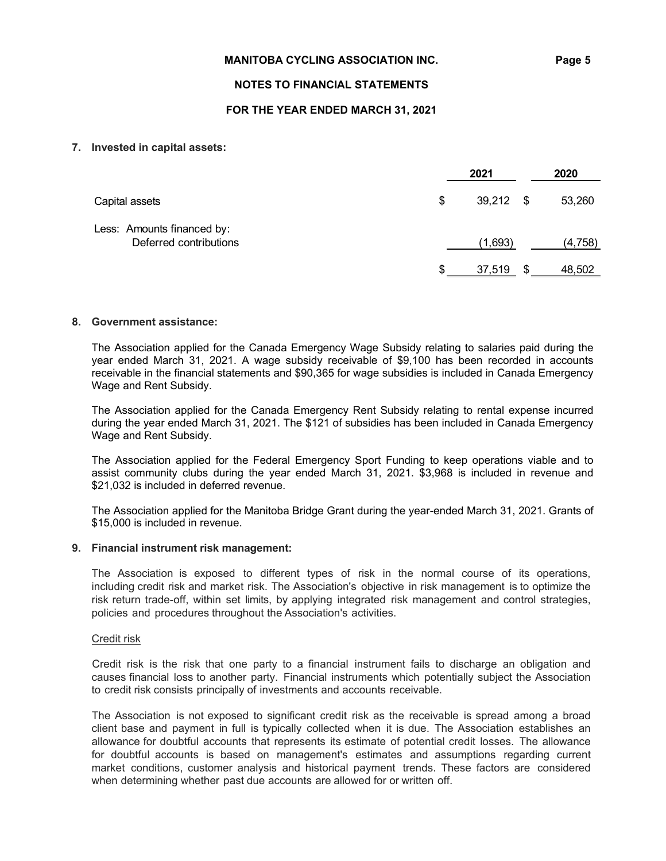## **NOTES TO FINANCIAL STATEMENTS**

## **FOR THE YEAR ENDED MARCH 31, 2021**

### **7. Invested in capital assets:**

|                                                      | 2021         |      | 2020     |
|------------------------------------------------------|--------------|------|----------|
| Capital assets                                       | \$<br>39,212 | - \$ | 53,260   |
| Less: Amounts financed by:<br>Deferred contributions | (1,693)      |      | (4, 758) |
|                                                      | 37,519       | \$   | 48,502   |
|                                                      |              |      |          |

### **8. Government assistance:**

The Association applied for the Canada Emergency Wage Subsidy relating to salaries paid during the year ended March 31, 2021. A wage subsidy receivable of \$9,100 has been recorded in accounts receivable in the financial statements and \$90,365 for wage subsidies is included in Canada Emergency Wage and Rent Subsidy.

The Association applied for the Canada Emergency Rent Subsidy relating to rental expense incurred during the year ended March 31, 2021. The \$121 of subsidies has been included in Canada Emergency Wage and Rent Subsidy.

The Association applied for the Federal Emergency Sport Funding to keep operations viable and to assist community clubs during the year ended March 31, 2021. \$3,968 is included in revenue and \$21,032 is included in deferred revenue.

The Association applied for the Manitoba Bridge Grant during the year-ended March 31, 2021. Grants of \$15,000 is included in revenue.

### **9. Financial instrument risk management:**

The Association is exposed to different types of risk in the normal course of its operations, including credit risk and market risk. The Association's objective in risk management is to optimize the risk return trade-off, within set limits, by applying integrated risk management and control strategies, policies and procedures throughout the Association's activities.

### Credit risk

Credit risk is the risk that one party to a financial instrument fails to discharge an obligation and causes financial loss to another party. Financial instruments which potentially subject the Association to credit risk consists principally of investments and accounts receivable.

The Association is not exposed to significant credit risk as the receivable is spread among a broad client base and payment in full is typically collected when it is due. The Association establishes an allowance for doubtful accounts that represents its estimate of potential credit losses. The allowance for doubtful accounts is based on management's estimates and assumptions regarding current market conditions, customer analysis and historical payment trends. These factors are considered when determining whether past due accounts are allowed for or written off.